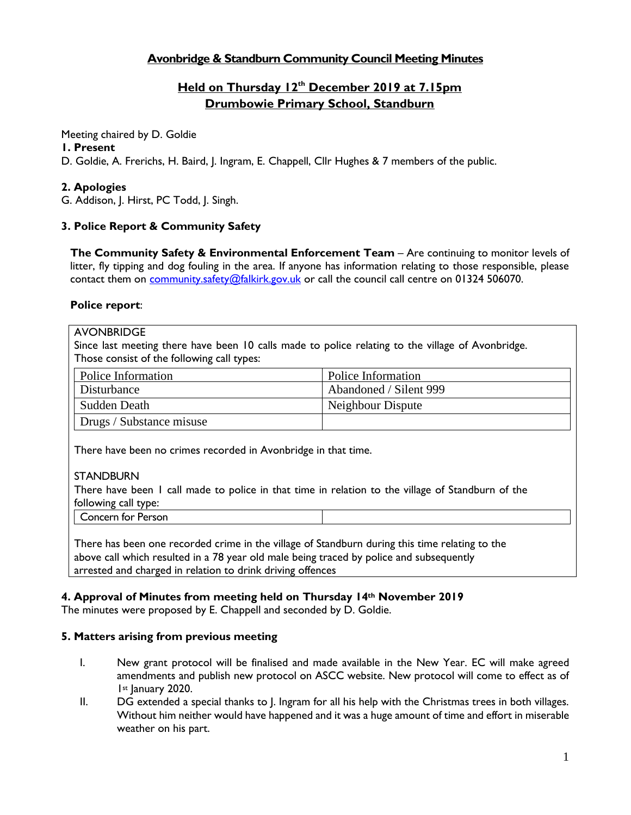# **Avonbridge & Standburn Community Council Meeting Minutes**

# **Held on Thursday 12 th December 2019 at 7.15pm Drumbowie Primary School, Standburn**

Meeting chaired by D. Goldie

### **1. Present**

D. Goldie, A. Frerichs, H. Baird, J. Ingram, E. Chappell, Cllr Hughes & 7 members of the public.

## **2. Apologies**

G. Addison, J. Hirst, PC Todd, J. Singh.

# **3. Police Report & Community Safety**

**The Community Safety & Environmental Enforcement Team** – Are continuing to monitor levels of litter, fly tipping and dog fouling in the area. If anyone has information relating to those responsible, please contact them on [community.safety@falkirk.gov.uk](mailto:community.safety@falkirk.gov.uk) or call the council call centre on 01324 506070.

### **Police report**:

#### **AVONBRIDGE**

Since last meeting there have been 10 calls made to police relating to the village of Avonbridge. Those consist of the following call types:

| Police Information       | Police Information     |
|--------------------------|------------------------|
| Disturbance              | Abandoned / Silent 999 |
| Sudden Death             | Neighbour Dispute      |
| Drugs / Substance misuse |                        |

There have been no crimes recorded in Avonbridge in that time.

### **STANDBURN**

There have been 1 call made to police in that time in relation to the village of Standburn of the following call type:

Concern for Person

There has been one recorded crime in the village of Standburn during this time relating to the above call which resulted in a 78 year old male being traced by police and subsequently arrested and charged in relation to drink driving offences

### **4. Approval of Minutes from meeting held on Thursday 14th November 2019**

The minutes were proposed by E. Chappell and seconded by D. Goldie.

### **5. Matters arising from previous meeting**

- I. New grant protocol will be finalised and made available in the New Year. EC will make agreed amendments and publish new protocol on ASCC website. New protocol will come to effect as of I<sup>st</sup> January 2020.
- II. DG extended a special thanks to J. Ingram for all his help with the Christmas trees in both villages. Without him neither would have happened and it was a huge amount of time and effort in miserable weather on his part.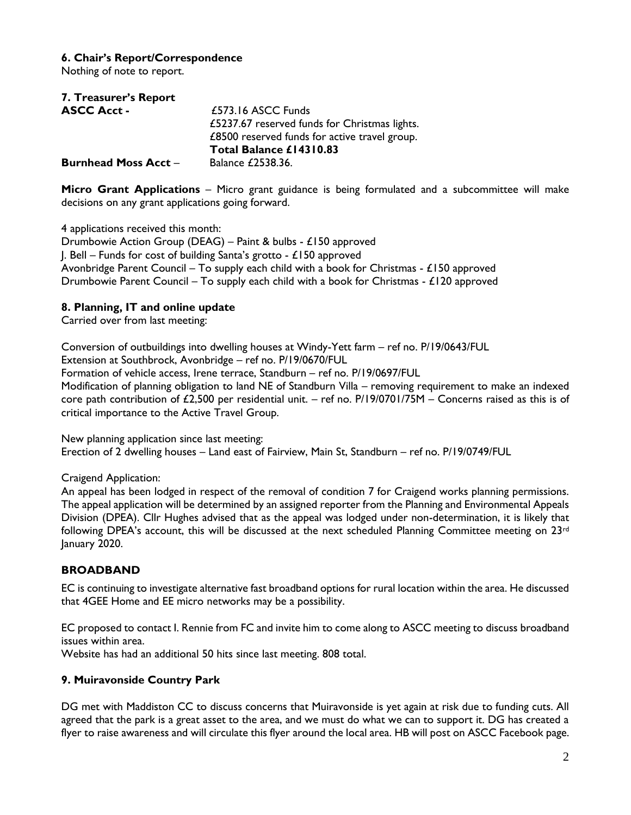### **6. Chair's Report/Correspondence**

Nothing of note to report.

| 7. Treasurer's Report       |                                               |
|-----------------------------|-----------------------------------------------|
| <b>ASCC Acct -</b>          | £573.16 ASCC Funds                            |
|                             | £5237.67 reserved funds for Christmas lights. |
|                             | £8500 reserved funds for active travel group. |
|                             | Total Balance £14310.83                       |
| <b>Burnhead Moss Acct -</b> | Balance £2538.36.                             |

**Micro Grant Applications** – Micro grant guidance is being formulated and a subcommittee will make decisions on any grant applications going forward.

4 applications received this month:

Drumbowie Action Group (DEAG) – Paint & bulbs - £150 approved J. Bell – Funds for cost of building Santa's grotto - £150 approved Avonbridge Parent Council – To supply each child with a book for Christmas -  $\pounds$ 150 approved Drumbowie Parent Council – To supply each child with a book for Christmas -  $\pounds$ 120 approved

#### **8. Planning, IT and online update**

Carried over from last meeting:

Conversion of outbuildings into dwelling houses at Windy-Yett farm – ref no. P/19/0643/FUL Extension at Southbrock, Avonbridge – ref no. P/19/0670/FUL Formation of vehicle access, Irene terrace, Standburn – ref no. P/19/0697/FUL Modification of planning obligation to land NE of Standburn Villa – removing requirement to make an indexed core path contribution of £2,500 per residential unit. – ref no. P/19/0701/75M – Concerns raised as this is of critical importance to the Active Travel Group.

New planning application since last meeting: Erection of 2 dwelling houses – Land east of Fairview, Main St, Standburn – ref no. P/19/0749/FUL

Craigend Application:

An appeal has been lodged in respect of the removal of condition 7 for Craigend works planning permissions. The appeal application will be determined by an assigned reporter from the Planning and Environmental Appeals Division (DPEA). Cllr Hughes advised that as the appeal was lodged under non-determination, it is likely that following DPEA's account, this will be discussed at the next scheduled Planning Committee meeting on 23<sup>rd</sup> January 2020.

### **BROADBAND**

EC is continuing to investigate alternative fast broadband options for rural location within the area. He discussed that 4GEE Home and EE micro networks may be a possibility.

EC proposed to contact I. Rennie from FC and invite him to come along to ASCC meeting to discuss broadband issues within area.

Website has had an additional 50 hits since last meeting. 808 total.

#### **9. Muiravonside Country Park**

DG met with Maddiston CC to discuss concerns that Muiravonside is yet again at risk due to funding cuts. All agreed that the park is a great asset to the area, and we must do what we can to support it. DG has created a flyer to raise awareness and will circulate this flyer around the local area. HB will post on ASCC Facebook page.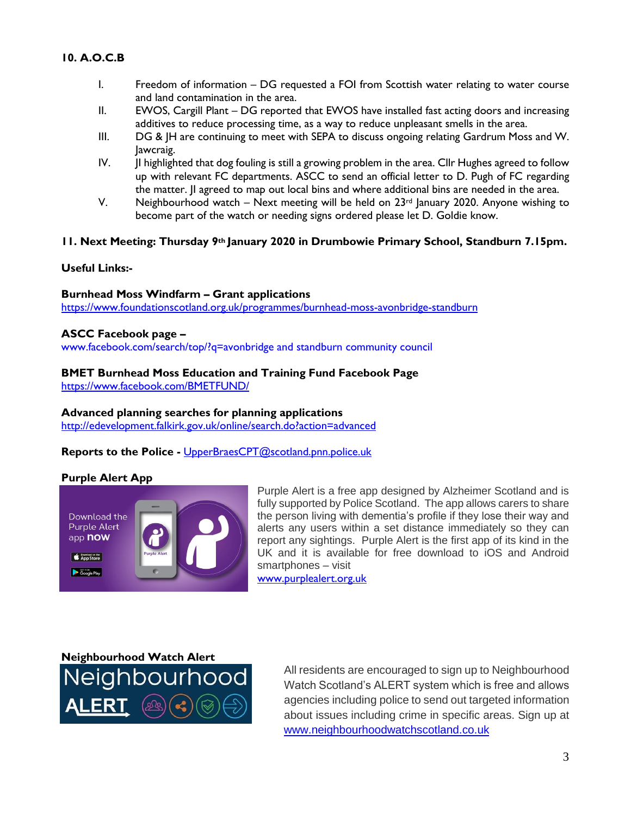### **10. A.O.C.B**

- I. Freedom of information DG requested a FOI from Scottish water relating to water course and land contamination in the area.
- II. EWOS, Cargill Plant DG reported that EWOS have installed fast acting doors and increasing additives to reduce processing time, as a way to reduce unpleasant smells in the area.
- III. DG & JH are continuing to meet with SEPA to discuss ongoing relating Gardrum Moss and W. Jawcraig.
- IV. JI highlighted that dog fouling is still a growing problem in the area. Cllr Hughes agreed to follow up with relevant FC departments. ASCC to send an official letter to D. Pugh of FC regarding the matter. JI agreed to map out local bins and where additional bins are needed in the area.
- V. Neighbourhood watch Next meeting will be held on  $23<sup>rd</sup>$  January 2020. Anyone wishing to become part of the watch or needing signs ordered please let D. Goldie know.

#### **11. Next Meeting: Thursday 9th January 2020 in Drumbowie Primary School, Standburn 7.15pm.**

#### **Useful Links:-**

### **Burnhead Moss Windfarm – Grant applications**

<https://www.foundationscotland.org.uk/programmes/burnhead-moss-avonbridge-standburn>

#### **ASCC Facebook page –**

www.facebook.com/search/top/?q=avonbridge and standburn community council

### **BMET Burnhead Moss Education and Training Fund Facebook Page**

<https://www.facebook.com/BMETFUND/>

#### **Advanced planning searches for planning applications**

<http://edevelopment.falkirk.gov.uk/online/search.do?action=advanced>

**Reports to the Police -** [UpperBraesCPT@scotland.pnn.police.uk](mailto:UpperBraesCPT@scotland.pnn.police.uk)

#### **Purple Alert App**



Purple Alert is a free app designed by Alzheimer Scotland and is fully supported by Police Scotland. The app allows carers to share the person living with dementia's profile if they lose their way and alerts any users within a set distance immediately so they can report any sightings. Purple Alert is the first app of its kind in the UK and it is available for free download to iOS and Android smartphones – visit

[www.purplealert.org.uk](http://www.purplealert.org.uk/)

**Neighbourhood Watch Alert**

All residents are encouraged to sign up to Neighbourhood Watch Scotland's ALERT system which is free and allows agencies including police to send out targeted information about issues including crime in specific areas. Sign up at [www.neighbourhoodwatchscotland.co.uk](http://www.neighbourhoodwatchscotland.co.uk/)